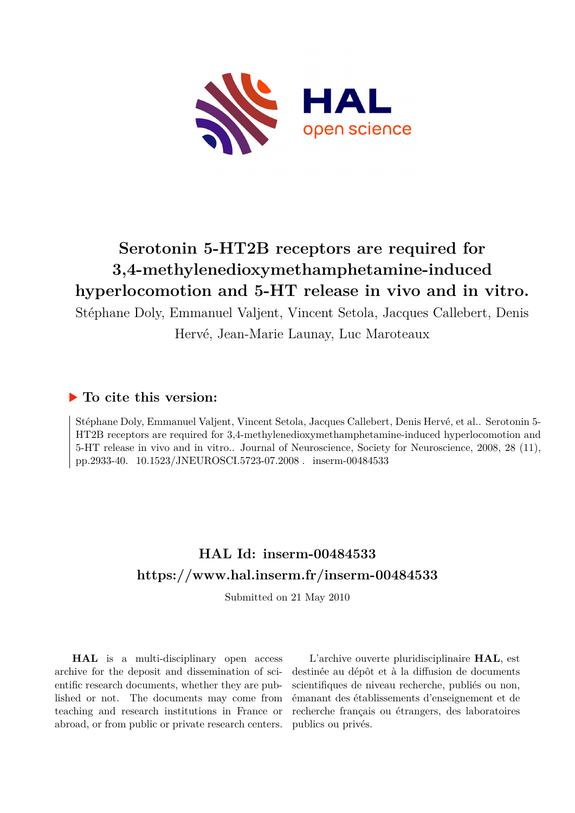

## **Serotonin 5-HT2B receptors are required for 3,4-methylenedioxymethamphetamine-induced hyperlocomotion and 5-HT release in vivo and in vitro.**

Stéphane Doly, Emmanuel Valjent, Vincent Setola, Jacques Callebert, Denis

Hervé, Jean-Marie Launay, Luc Maroteaux

### **To cite this version:**

Stéphane Doly, Emmanuel Valjent, Vincent Setola, Jacques Callebert, Denis Hervé, et al.. Serotonin 5- HT2B receptors are required for 3,4-methylenedioxymethamphetamine-induced hyperlocomotion and 5-HT release in vivo and in vitro.. Journal of Neuroscience, Society for Neuroscience, 2008, 28 (11), pp.2933-40. 10.1523/JNEUROSCI.5723-07.2008. inserm-00484533

## **HAL Id: inserm-00484533 <https://www.hal.inserm.fr/inserm-00484533>**

Submitted on 21 May 2010

**HAL** is a multi-disciplinary open access archive for the deposit and dissemination of scientific research documents, whether they are published or not. The documents may come from teaching and research institutions in France or abroad, or from public or private research centers.

L'archive ouverte pluridisciplinaire **HAL**, est destinée au dépôt et à la diffusion de documents scientifiques de niveau recherche, publiés ou non, émanant des établissements d'enseignement et de recherche français ou étrangers, des laboratoires publics ou privés.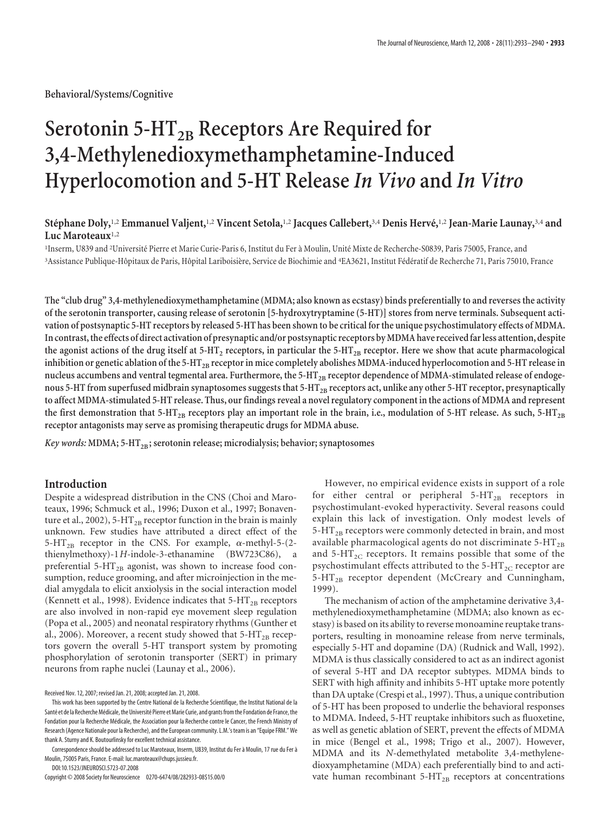**Behavioral/Systems/Cognitive**

# **Serotonin 5-HT<sub>2B</sub> Receptors Are Required for 3,4-Methylenedioxymethamphetamine-Induced Hyperlocomotion and 5-HT Release** *In Vivo* **and** *In Vitro*

#### **Ste´phane Doly,**1,2 **Emmanuel Valjent,**1,2 **Vincent Setola,**1,2 **Jacques Callebert,**3,4 **Denis Herve´,**1,2 **Jean-Marie Launay,**3,4 **and Luc Maroteaux**1,2

<sup>1</sup>Inserm, U839 and <sup>2</sup>Université Pierre et Marie Curie-Paris 6, Institut du Fer à Moulin, Unité Mixte de Recherche-S0839, Paris 75005, France, and <sup>3</sup>Assistance Publique-Hôpitaux de Paris, Hôpital Lariboisière, Service de Biochimie and <sup>4</sup>EA3621, Institut Fédératif de Recherche 71, Paris 75010, France

**The "club drug" 3,4-methylenedioxymethamphetamine (MDMA; also known as ecstasy) binds preferentially to and reverses the activity of the serotonin transporter, causing release of serotonin [5-hydroxytryptamine (5-HT)] stores from nerve terminals. Subsequent activation of postsynaptic 5-HT receptors by released 5-HT has been shown to be critical for the unique psychostimulatory effects of MDMA.** In contrast, the effects of direct activation of presynaptic and/or postsynaptic receptors by MDMA have received far less attention, despite the agonist actions of the drug itself at 5-HT<sub>2</sub> receptors, in particular the 5-HT<sub>2B</sub> receptor. Here we show that acute pharmacological inhibition or genetic ablation of the 5-HT<sub>2B</sub> receptor in mice completely abolishes MDMA-induced hyperlocomotion and 5-HT release in nucleus accumbens and ventral tegmental area. Furthermore, the 5-HT<sub>2B</sub> receptor dependence of MDMA-stimulated release of endogenous 5-HT from superfused midbrain synaptosomes suggests that 5-HT<sub>2B</sub> receptors act, unlike any other 5-HT receptor, presynaptically **to affect MDMA-stimulated 5-HT release. Thus, our findings reveal a novel regulatory component in the actions of MDMA and represent** the first demonstration that  $5-HT_{2B}$  receptors play an important role in the brain, i.e., modulation of  $5-HT$  release. As such,  $5-HT_{2B}$ **receptor antagonists may serve as promising therapeutic drugs for MDMA abuse.**

*Key words:* MDMA; 5-HT<sub>2B</sub>; serotonin release; microdialysis; behavior; synaptosomes

#### **Introduction**

Despite a widespread distribution in the CNS (Choi and Maroteaux, 1996; Schmuck et al., 1996; Duxon et al., 1997; Bonaventure et al., 2002), 5-HT<sub>2B</sub> receptor function in the brain is mainly unknown. Few studies have attributed a direct effect of the 5-HT<sub>2B</sub> receptor in the CNS. For example,  $\alpha$ -methyl-5-(2thienylmethoxy)-1*H*-indole-3-ethanamine (BW723C86), a preferential 5- $HT_{2B}$  agonist, was shown to increase food consumption, reduce grooming, and after microinjection in the medial amygdala to elicit anxiolysis in the social interaction model (Kennett et al., 1998). Evidence indicates that  $5-HT_{2B}$  receptors are also involved in non-rapid eye movement sleep regulation (Popa et al., 2005) and neonatal respiratory rhythms (Gunther et al., 2006). Moreover, a recent study showed that  $5-HT_{2B}$  receptors govern the overall 5-HT transport system by promoting phosphorylation of serotonin transporter (SERT) in primary neurons from raphe nuclei (Launay et al., 2006).

DOI:10.1523/JNEUROSCI.5723-07.2008

Copyright © 2008 Society for Neuroscience 0270-6474/08/282933-08\$15.00/0

However, no empirical evidence exists in support of a role for either central or peripheral  $5-HT_{2B}$  receptors in psychostimulant-evoked hyperactivity. Several reasons could explain this lack of investigation. Only modest levels of  $5-HT_{2B}$  receptors were commonly detected in brain, and most available pharmacological agents do not discriminate  $5-HT_{2B}$ and  $5-HT_{2C}$  receptors. It remains possible that some of the psychostimulant effects attributed to the  $5-HT_{2C}$  receptor are 5-HT<sub>2B</sub> receptor dependent (McCreary and Cunningham, 1999).

The mechanism of action of the amphetamine derivative 3,4 methylenedioxymethamphetamine (MDMA; also known as ecstasy) is based on its ability to reverse monoamine reuptake transporters, resulting in monoamine release from nerve terminals, especially 5-HT and dopamine (DA) (Rudnick and Wall, 1992). MDMA is thus classically considered to act as an indirect agonist of several 5-HT and DA receptor subtypes. MDMA binds to SERT with high affinity and inhibits 5-HT uptake more potently than DA uptake (Crespi et al., 1997). Thus, a unique contribution of 5-HT has been proposed to underlie the behavioral responses to MDMA. Indeed, 5-HT reuptake inhibitors such as fluoxetine, as well as genetic ablation of SERT, prevent the effects of MDMA in mice (Bengel et al., 1998; Trigo et al., 2007). However, MDMA and its *N-*demethylated metabolite 3,4-methylenedioxyamphetamine (MDA) each preferentially bind to and activate human recombinant  $5-HT_{2B}$  receptors at concentrations

Received Nov. 12, 2007; revised Jan. 21, 2008; accepted Jan. 21, 2008.

This work has been supported by the Centre National de la Recherche Scientifique, the Institut National de la Santé et de la Recherche Médicale, the Université Pierre et Marie Curie, and grants from the Fondation de France, the Fondation pour la Recherche Médicale, the Association pour la Recherche contre le Cancer, the French Ministry of Research (Agence Nationale pour la Recherche), and the European community. L.M.'s team is an "Equipe FRM." We thank A. Sturny and K. Boutourlinsky for excellent technical assistance.

Correspondence should be addressed to Luc Maroteaux, Inserm, U839, Institut du Fer a` Moulin, 17 rue du Fer a` Moulin, 75005 Paris, France. E-mail: luc.maroteaux@chups.jussieu.fr.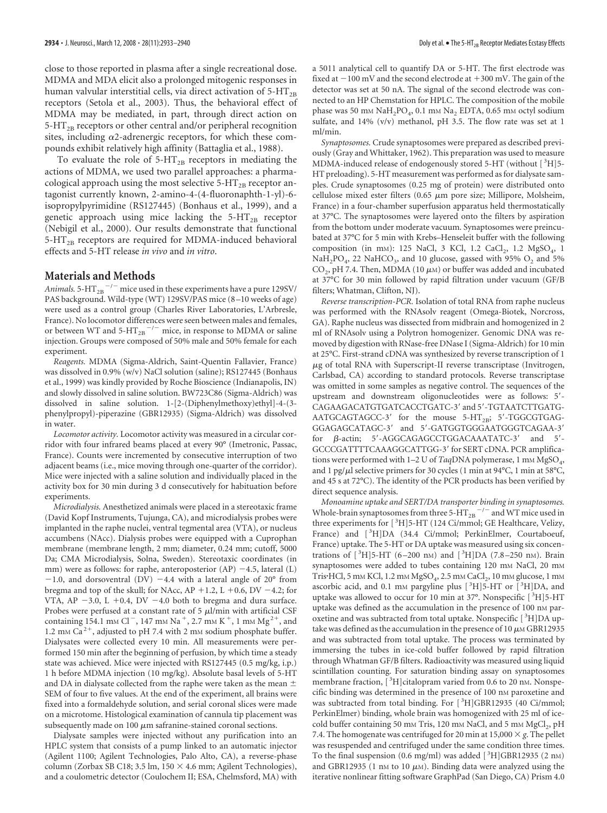close to those reported in plasma after a single recreational dose. MDMA and MDA elicit also a prolonged mitogenic responses in human valvular interstitial cells, via direct activation of  $5-HT_{2B}$ receptors (Setola et al., 2003). Thus, the behavioral effect of MDMA may be mediated, in part, through direct action on  $5-\text{HT}_{2B}$  receptors or other central and/or peripheral recognition sites, including  $\alpha$ 2-adrenergic receptors, for which these compounds exhibit relatively high affinity (Battaglia et al., 1988).

To evaluate the role of  $5-HT_{2B}$  receptors in mediating the actions of MDMA, we used two parallel approaches: a pharmacological approach using the most selective  $5-HT_{2B}$  receptor antagonist currently known, 2-amino-4-(4-fluoronaphth-1-yl)-6 isopropylpyrimidine (RS127445) (Bonhaus et al., 1999), and a genetic approach using mice lacking the  $5-HT_{2B}$  receptor (Nebigil et al., 2000). Our results demonstrate that functional  $5-HT<sub>2B</sub>$  receptors are required for MDMA-induced behavioral effects and 5-HT release *in vivo* and *in vitro*.

#### **Materials and Methods**

*Animals*. 5-HT $_{\rm 2B}$   $^{-/-}$  mice used in these experiments have a pure 129SV/ PAS background. Wild-type (WT) 129SV/PAS mice (8 –10 weeks of age) were used as a control group (Charles River Laboratories, L'Arbresle, France). No locomotor differences were seen between males and females, or between WT and 5- $HT_{2B}$ <sup>-/-</sup> mice, in response to MDMA or saline injection. Groups were composed of 50% male and 50% female for each experiment.

*Reagents.* MDMA (Sigma-Aldrich, Saint-Quentin Fallavier, France) was dissolved in 0.9% (w/v) NaCl solution (saline); RS127445 (Bonhaus et al., 1999) was kindly provided by Roche Bioscience (Indianapolis, IN) and slowly dissolved in saline solution. BW723C86 (Sigma-Aldrich) was dissolved in saline solution. 1-[2-(Diphenylmethoxy)ethyl]-4-(3 phenylpropyl)-piperazine (GBR12935) (Sigma-Aldrich) was dissolved in water.

*Locomotor activity.* Locomotor activity was measured in a circular corridor with four infrared beams placed at every 90° (Imetronic, Passac, France). Counts were incremented by consecutive interruption of two adjacent beams (i.e., mice moving through one-quarter of the corridor). Mice were injected with a saline solution and individually placed in the activity box for 30 min during 3 d consecutively for habituation before experiments.

*Microdialysis.* Anesthetized animals were placed in a stereotaxic frame (David Kopf Instruments, Tujunga, CA), and microdialysis probes were implanted in the raphe nuclei, ventral tegmental area (VTA), or nucleus accumbens (NAcc). Dialysis probes were equipped with a Cuprophan membrane (membrane length, 2 mm; diameter, 0.24 mm; cutoff, 5000 Da; CMA Microdialysis, Solna, Sweden). Stereotaxic coordinates (in mm) were as follows: for raphe, anteroposterior  $(AP)$  -4.5, lateral  $(L)$  $-1.0$ , and dorsoventral (DV)  $-4.4$  with a lateral angle of 20 $^{\circ}$  from bregma and top of the skull; for NAcc,  $AP + 1.2$ ,  $L + 0.6$ ,  $DV - 4.2$ ; for VTA, AP  $-3.0$ , L  $+0.4$ , DV  $-4.0$  both to bregma and dura surface. Probes were perfused at a constant rate of 5  $\mu$ l/min with artificial CSF containing 154.1 mm Cl<sup>-</sup>, 147 mm Na<sup>+</sup>, 2.7 mm K<sup>+</sup>, 1 mm Mg<sup>2+</sup>, and 1.2 mm  $Ca^{2+}$ , adjusted to pH 7.4 with 2 mm sodium phosphate buffer. Dialysates were collected every 10 min. All measurements were performed 150 min after the beginning of perfusion, by which time a steady state was achieved. Mice were injected with RS127445 (0.5 mg/kg, i.p.) 1 h before MDMA injection (10 mg/kg). Absolute basal levels of 5-HT and DA in dialysate collected from the raphe were taken as the mean  $\pm$ SEM of four to five values. At the end of the experiment, all brains were fixed into a formaldehyde solution, and serial coronal slices were made on a microtome. Histological examination of cannula tip placement was subsequently made on  $100 \mu m$  safranine-stained coronal sections.

Dialysate samples were injected without any purification into an HPLC system that consists of a pump linked to an automatic injector (Agilent 1100; Agilent Technologies, Palo Alto, CA), a reverse-phase column (Zorbax SB C18; 3.5 lm,  $150 \times 4.6$  mm; Agilent Technologies), and a coulometric detector (Coulochem II; ESA, Chelmsford, MA) with

a 5011 analytical cell to quantify DA or 5-HT. The first electrode was fixed at  $-100$  mV and the second electrode at  $+300$  mV. The gain of the detector was set at 50 nA. The signal of the second electrode was connected to an HP Chemstation for HPLC. The composition of the mobile phase was 50 mm  $\text{NaH}_2\text{PO}_4$ , 0.1 mm  $\text{Na}_2$  EDTA, 0.65 mm octyl sodium sulfate, and 14% (v/v) methanol, pH 3.5. The flow rate was set at 1 ml/min.

*Synaptosomes.* Crude synaptosomes were prepared as described previously (Gray and Whittaker, 1962). This preparation was used to measure MDMA-induced release of endogenously stored 5-HT (without [<sup>3</sup>H]5-HT preloading). 5-HT measurement was performed as for dialysate samples. Crude synaptosomes (0.25 mg of protein) were distributed onto cellulose mixed ester filters (0.65  $\mu$ m pore size; Millipore, Molsheim, France) in a four-chamber superfusion apparatus held thermostatically at 37°C. The synaptosomes were layered onto the filters by aspiration from the bottom under moderate vacuum. Synaptosomes were preincubated at 37°C for 5 min with Krebs–Henseleit buffer with the following composition (in mm): 125 NaCl, 3 KCl, 1.2 CaCl<sub>2</sub>, 1.2 MgSO<sub>4</sub>, 1  $NaH<sub>2</sub>PO<sub>4</sub>$ , 22 NaHCO<sub>3</sub>, and 10 glucose, gassed with 95% O<sub>2</sub> and 5%  $\mathrm{CO}_2$ , pH 7.4. Then, MDMA (10  $\mu$ m) or buffer was added and incubated at 37°C for 30 min followed by rapid filtration under vacuum (GF/B filters; Whatman, Clifton, NJ).

*Reverse transcription-PCR.* Isolation of total RNA from raphe nucleus was performed with the RNAsolv reagent (Omega-Biotek, Norcross, GA). Raphe nucleus was dissected from midbrain and homogenized in 2 ml of RNAsolv using a Polytron homogenizer. Genomic DNA was removed by digestion with RNase-free DNase I (Sigma-Aldrich) for 10 min at 25°C. First-strand cDNA was synthesized by reverse transcription of 1 -g of total RNA with Superscript-II reverse transcriptase (Invitrogen, Carlsbad, CA) according to standard protocols. Reverse transcriptase was omitted in some samples as negative control. The sequences of the upstream and downstream oligonucleotides were as follows: 5'-CAGAAGACATGTGATCACCTGATC-3' and 5'-TGTAATCTTGATG- $AATGCAGTAGCC-3'$  for the mouse  $5-HT_{2B}$ ; 5'-TGGCGTGAG-GGAGAGCATAGC-3' and 5'-GATGGTGGGAATGGGTCAGAA-3' for  $\beta$ -actin; 5'-AGGCAGAGCCTGGACAAATATC-3' and 5'-GCCCGATTTTCAAAGGCATTGG-3' for SERT cDNA. PCR amplifications were performed with 1–2 U of *Taq*DNA polymerase, 1 mm MgSO<sub>4</sub>, and 1 pg/ $\mu$ l selective primers for 30 cycles (1 min at 94°C, 1 min at 58°C, and 45 s at 72°C). The identity of the PCR products has been verified by direct sequence analysis.

*Monoamine uptake and SERT/DA transporter binding in synaptosomes.* Whole-brain synaptosomes from three 5-HT  $_{\rm 2B}$   $^{-/-}$  and WT mice used in three experiments for [<sup>3</sup>H]5-HT (124 Ci/mmol; GE Healthcare, Velizy, France) and [<sup>3</sup>H]DA (34.4 Ci/mmol; PerkinElmer, Courtaboeuf, France) uptake. The 5-HT or DA uptake was measured using six concentrations of [<sup>3</sup>H]5-HT (6-200 nm) and [<sup>3</sup>H]DA (7.8-250 nm). Brain synaptosomes were added to tubes containing 120 mm NaCl, 20 mm Tris HCl, 5 mm KCl, 1.2 mm  $MgSO_4$ , 2.5 mm CaCl<sub>2</sub>, 10 mm glucose, 1 mm ascorbic acid, and 0.1 mm pargyline plus  $[^{3}H]5-HT$  or  $[^{3}H]DA$ , and uptake was allowed to occur for 10 min at 37°. Nonspecific [3H]5-HT uptake was defined as the accumulation in the presence of 100 nm paroxetine and was subtracted from total uptake. Nonspecific [3H]DA uptake was defined as the accumulation in the presence of 10  $\mu$ m GBR12935 and was subtracted from total uptake. The process was terminated by immersing the tubes in ice-cold buffer followed by rapid filtration through Whatman GF/B filters. Radioactivity was measured using liquid scintillation counting. For saturation binding assay on synaptosomes membrane fraction, [<sup>3</sup>H]citalopram varied from 0.6 to 20 nm. Nonspecific binding was determined in the presence of 100 nm paroxetine and was subtracted from total binding. For [3H]GBR12935 (40 Ci/mmol; PerkinElmer) binding, whole brain was homogenized with 25 ml of icecold buffer containing 50 mm Tris, 120 mm NaCl, and 5 mm MgCl<sub>2</sub>, pH 7.4. The homogenate was centrifuged for 20 min at 15,000  $\times$  g. The pellet was resuspended and centrifuged under the same condition three times. To the final suspension (0.6 mg/ml) was added  $[{}^{3}H]$ GBR12935 (2 nM) and GBR12935 (1 nm to 10  $\mu$ m). Binding data were analyzed using the iterative nonlinear fitting software GraphPad (San Diego, CA) Prism 4.0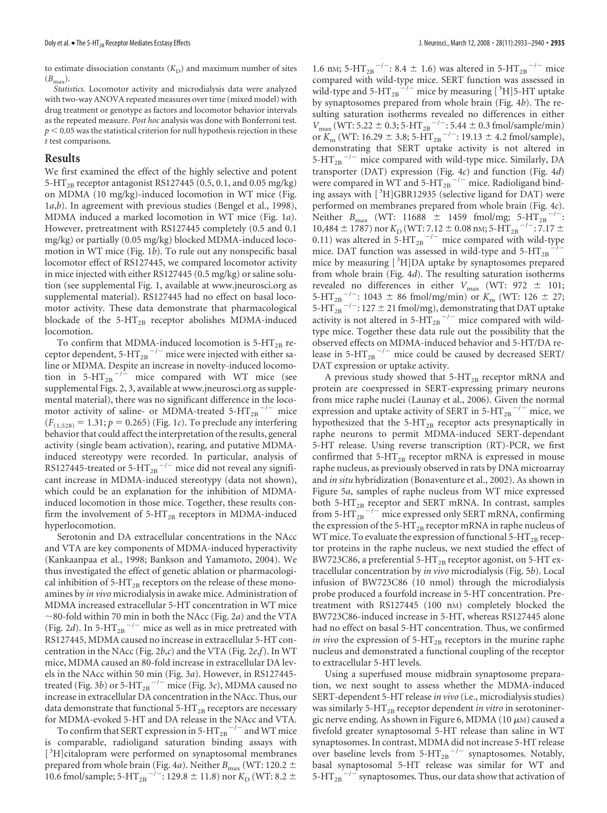to estimate dissociation constants  $(K_D)$  and maximum number of sites  $(B_{\text{max}}).$ 

*Statistics.* Locomotor activity and microdialysis data were analyzed with two-way ANOVA repeated measures over time (mixed model) with drug treatment or genotype as factors and locomotor behavior intervals as the repeated measure. *Post hoc* analysis was done with Bonferroni test.  $p < 0.05$  was the statistical criterion for null hypothesis rejection in these *t* test comparisons.

#### **Results**

We first examined the effect of the highly selective and potent 5-HT<sub>2B</sub> receptor antagonist RS127445 (0.5, 0.1, and 0.05 mg/kg) on MDMA (10 mg/kg)-induced locomotion in WT mice (Fig. 1*a*,*b*). In agreement with previous studies (Bengel et al., 1998), MDMA induced a marked locomotion in WT mice (Fig. 1*a*). However, pretreatment with RS127445 completely (0.5 and 0.1 mg/kg) or partially (0.05 mg/kg) blocked MDMA-induced locomotion in WT mice (Fig. 1*b*). To rule out any nonspecific basal locomotor effect of RS127445, we compared locomotor activity in mice injected with either RS127445 (0.5 mg/kg) or saline solution (see supplemental Fig. 1, available at www.jneurosci.org as supplemental material). RS127445 had no effect on basal locomotor activity. These data demonstrate that pharmacological blockade of the 5-HT<sub>2B</sub> receptor abolishes MDMA-induced locomotion.

To confirm that MDMA-induced locomotion is  $5-HT_{2B}$  receptor dependent,  $5-HT_{2B}$ <sup>-/-</sup> mice were injected with either saline or MDMA. Despite an increase in novelty-induced locomotion in 5-HT<sub>2B</sub><sup> $-/-$ </sup> mice compared with WT mice (see supplemental Figs. 2, 3, available at www.jneurosci.org as supplemental material), there was no significant difference in the locomotor activity of saline- or MDMA-treated 5-HT<sub>2B</sub><sup>-/-</sup> mice  $(F_{(1,528)} = 1.31; p = 0.265)$  (Fig. 1*c*). To preclude any interfering behavior that could affect the interpretation of the results, general activity (single beam activation), rearing, and putative MDMAinduced stereotypy were recorded. In particular, analysis of RS127445-treated or 5- $HT_{2B}$ <sup>-/-</sup> mice did not reveal any significant increase in MDMA-induced stereotypy (data not shown), which could be an explanation for the inhibition of MDMAinduced locomotion in those mice. Together, these results confirm the involvement of  $5-HT_{2B}$  receptors in MDMA-induced hyperlocomotion.

Serotonin and DA extracellular concentrations in the NAcc and VTA are key components of MDMA-induced hyperactivity (Kankaanpaa et al., 1998; Bankson and Yamamoto, 2004). We thus investigated the effect of genetic ablation or pharmacological inhibition of  $5-HT_{2B}$  receptors on the release of these monoamines by *in vivo* microdialysis in awake mice. Administration of MDMA increased extracellular 5-HT concentration in WT mice  $\sim$ 80-fold within 70 min in both the NAcc (Fig. 2*a*) and the VTA (Fig. 2d). In  $5-HT_{2B}$ <sup>-/-</sup> mice as well as in mice pretreated with RS127445, MDMA caused no increase in extracellular 5-HT concentration in the NAcc (Fig. 2*b*,*c*) and the VTA (Fig. 2*e*,*f*). In WT mice, MDMA caused an 80-fold increase in extracellular DA levels in the NAcc within 50 min (Fig. 3*a*). However, in RS127445 treated (Fig. 3*b*) or 5-HT<sub>2B</sub>  $^{-/-}$  mice (Fig. 3*c*), MDMA caused no increase in extracellular DA concentration in the NAcc. Thus, our data demonstrate that functional  $5-HT_{2B}$  receptors are necessary for MDMA-evoked 5-HT and DA release in the NAcc and VTA.

To confirm that SERT expression in 5-HT  $_{\rm 2B}$   $^{-/-}$  and WT mice is comparable, radioligand saturation binding assays with [<sup>3</sup>H]citalopram were performed on synaptosomal membranes prepared from whole brain (Fig. 4*a*). Neither  $B_{\text{max}}$  (WT: 120.2  $\pm$ 10.6 fmol/sample; 5-HT<sub>2B</sub><sup>-/-</sup>: 129.8  $\pm$  11.8) nor  $K_{\text{D}}$  (WT: 8.2  $\pm$ 

1.6 nm; 5-HT<sub>2B</sub><sup>-/-</sup>: 8.4  $\pm$  1.6) was altered in 5-HT<sub>2B</sub><sup>-/-</sup> mice compared with wild-type mice. SERT function was assessed in wild-type and 5- $HT_{2B}^{-1/2}$  mice by measuring [<sup>3</sup>H]5-HT uptake by synaptosomes prepared from whole brain (Fig. 4*b*). The resulting saturation isotherms revealed no differences in either  $V_{\text{max}}$  (WT: 5.22  $\pm$  0.3; 5-HT<sub>2B</sub><sup>-/-</sup>: 5.44  $\pm$  0.3 fmol/sample/min) or  $K_{\text{m}}$  (WT: 16.29  $\pm$  3.8; 5-HT<sub>2B</sub><sup>-/-</sup>: 19.13  $\pm$  4.2 fmol/sample), demonstrating that SERT uptake activity is not altered in 5-HT<sub>2B</sub><sup> $-/-$ </sup> mice compared with wild-type mice. Similarly, DA transporter (DAT) expression (Fig. 4*c*) and function (Fig. 4*d*) were compared in WT and  $5-HT_{2B}^{-1/2}$  mice. Radioligand binding assays with [<sup>3</sup>H]GBR12935 (selective ligand for DAT) were performed on membranes prepared from whole brain (Fig. 4*c*). Neither  $B_{\text{max}}$  (WT: 11688  $\pm$  1459 fmol/mg; 5-HT<sub>2B</sub><sup>-/-</sup>: 10,484  $\pm$  1787) nor  $K_{\text{D}}$  (WT: 7.12  $\pm$  0.08 nm; 5-HT<sub>2B</sub><sup>-/-</sup>: 7.17  $\pm$ 0.11) was altered in 5-HT<sub>2B</sub><sup>-/-</sup> mice compared with wild-type mice. DAT function was assessed in wild-type and  $5-HT_{2B}$  $-7$ mice by measuring [<sup>3</sup>H]DA uptake by synaptosomes prepared from whole brain (Fig. 4*d*). The resulting saturation isotherms revealed no differences in either  $V_{\text{max}}$  (WT: 972  $\pm$  101; 5-HT<sub>2B</sub><sup>-/-</sup>: 1043  $\pm$  86 fmol/mg/min) or  $K_{\text{m}}$  (WT: 126  $\pm$  27; 5-HT $_{2B}^{-1}$  -/-: 127  $\pm$  21 fmol/mg), demonstrating that DAT uptake activity is not altered in 5- $HT_{2B}$ <sup>-/-</sup> mice compared with wildtype mice. Together these data rule out the possibility that the observed effects on MDMA-induced behavior and 5-HT/DA release in 5-HT<sub>2B</sub><sup>-/-</sup> mice could be caused by decreased SERT/ DAT expression or uptake activity.

A previous study showed that  $5-HT_{2B}$  receptor mRNA and protein are coexpressed in SERT-expressing primary neurons from mice raphe nuclei (Launay et al., 2006). Given the normal expression and uptake activity of SERT in 5-HT $_{2B}$ <sup>-/-</sup> mice, we hypothesized that the  $5-HT_{2B}$  receptor acts presynaptically in raphe neurons to permit MDMA-induced SERT-dependant 5-HT release. Using reverse transcription (RT)-PCR, we first confirmed that  $5-HT_{2B}$  receptor mRNA is expressed in mouse raphe nucleus, as previously observed in rats by DNA microarray and *in situ* hybridization (Bonaventure et al., 2002). As shown in Figure 5*a*, samples of raphe nucleus from WT mice expressed both 5- $HT_{2B}$  receptor and SERT mRNA. In contrast, samples from 5-HT $_{2B}^{-/-}$  mice expressed only SERT mRNA, confirming the expression of the 5-HT<sub>2B</sub> receptor mRNA in raphe nucleus of WT mice. To evaluate the expression of functional 5-HT<sub>2B</sub> receptor proteins in the raphe nucleus, we next studied the effect of BW723C86, a preferential 5-HT<sub>2B</sub> receptor agonist, on 5-HT extracellular concentration by *in vivo* microdialysis (Fig. 5*b*). Local infusion of BW723C86 (10 nmol) through the microdialysis probe produced a fourfold increase in 5-HT concentration. Pretreatment with RS127445 (100 nM) completely blocked the BW723C86-induced increase in 5-HT, whereas RS127445 alone had no effect on basal 5-HT concentration. Thus, we confirmed *in vivo* the expression of 5-HT<sub>2B</sub> receptors in the murine raphe nucleus and demonstrated a functional coupling of the receptor to extracellular 5-HT levels.

Using a superfused mouse midbrain synaptosome preparation, we next sought to assess whether the MDMA-induced SERT-dependent 5-HT release *in vivo* (i.e., microdialysis studies) was similarly 5-HT<sub>2B</sub> receptor dependent *in vitro* in serotoninergic nerve ending. As shown in Figure 6, MDMA (10  $\mu$ m) caused a fivefold greater synaptosomal 5-HT release than saline in WT synaptosomes. In contrast, MDMA did not increase 5-HT release over baseline levels from  $5-HT_{2B}$ <sup>-/-</sup> synaptosomes. Notably, basal synaptosomal 5-HT release was similar for WT and 5-HT<sub>2B</sub>  $^{-/-}$  synaptosomes. Thus, our data show that activation of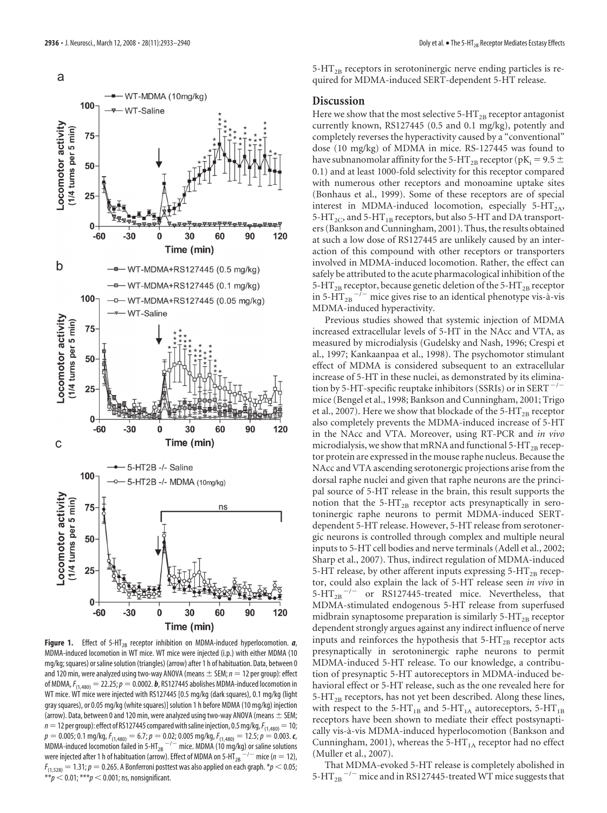

**Figure 1.** Effect of 5-HT<sub>2B</sub> receptor inhibition on MDMA-induced hyperlocomotion. *a*, MDMA-induced locomotion in WT mice. WT mice were injected (i.p.) with either MDMA (10 mg/kg; squares) or saline solution (triangles) (arrow) after 1 h of habituation. Data, between 0 and 120 min, were analyzed using two-way ANOVA (means  $\pm$  SEM;  $n = 12$  per group): effect of MDMA,  $F_{(1,480)} = 22.25$ ;  $p = 0.0002$ . **b**, RS127445 abolishes MDMA-induced locomotion in WT mice. WT mice were injected with RS127445 [0.5 mg/kg (dark squares), 0.1 mg/kg (light gray squares), or 0.05 mg/kg (white squares)] solution 1 h before MDMA (10 mg/kg) injection (arrow). Data, between 0 and 120 min, were analyzed using two-way ANOVA (means  $\pm$  SEM;  $n=12$  per group): effect of RS127445 compared with saline injection, 0.5 mg/kg,  $F_{(1,480)}=10$ ;  $p = 0.005$ ; 0.1 mg/kg,  $F_{(1,480)} = 6.7$ ;  $p = 0.02$ ; 0.005 mg/kg,  $F_{(1,480)} = 12.5$ ;  $p = 0.003$ . *c*, MDMA-induced locomotion failed in 5-HT<sub>2B</sub>  $^{-/-}$  mice. MDMA (10 mg/kg) or saline solutions were injected after 1 h of habituation (arrow). Effect of MDMA on 5-HT<sub>2B</sub><sup>--/-</sup> mice ( $n = 12$ ),  $F_{(1,528)} = 1.31; p = 0.265$ . A Bonferroni posttest was also applied on each graph.  $^*p$   $<$  0.05;  $^{**}p$   $<$  0.01;  $^{***}p$   $<$  0.001; ns, nonsignificant.

 $5-HT<sub>2B</sub>$  receptors in serotoninergic nerve ending particles is required for MDMA-induced SERT-dependent 5-HT release.

#### **Discussion**

Here we show that the most selective  $5-HT_{2B}$  receptor antagonist currently known, RS127445 (0.5 and 0.1 mg/kg), potently and completely reverses the hyperactivity caused by a "conventional" dose (10 mg/kg) of MDMA in mice. RS-127445 was found to have subnanomolar affinity for the 5-HT<sub>2B</sub> receptor (pK<sub>i</sub> = 9.5  $\pm$ 0.1) and at least 1000-fold selectivity for this receptor compared with numerous other receptors and monoamine uptake sites (Bonhaus et al., 1999). Some of these receptors are of special interest in MDMA-induced locomotion, especially  $5-HT_{2A}$ ,  $5-HT_{2C}$ , and  $5-HT_{1B}$  receptors, but also  $5-HT$  and DA transporters (Bankson and Cunningham, 2001). Thus, the results obtained at such a low dose of RS127445 are unlikely caused by an interaction of this compound with other receptors or transporters involved in MDMA-induced locomotion. Rather, the effect can safely be attributed to the acute pharmacological inhibition of the 5-HT<sub>2B</sub> receptor, because genetic deletion of the 5-HT<sub>2B</sub> receptor in 5- $\overline{HT}_{2B}^{-7-}$  mice gives rise to an identical phenotype vis-à-vis MDMA-induced hyperactivity.

Previous studies showed that systemic injection of MDMA increased extracellular levels of 5-HT in the NAcc and VTA, as measured by microdialysis (Gudelsky and Nash, 1996; Crespi et al., 1997; Kankaanpaa et al., 1998). The psychomotor stimulant effect of MDMA is considered subsequent to an extracellular increase of 5-HT in these nuclei, as demonstrated by its elimination by 5-HT-specific reuptake inhibitors (SSRIs) or in SERT $^{-/-}$ mice (Bengel et al., 1998; Bankson and Cunningham, 2001; Trigo et al., 2007). Here we show that blockade of the  $5-HT_{2B}$  receptor also completely prevents the MDMA-induced increase of 5-HT in the NAcc and VTA. Moreover, using RT-PCR and *in vivo* microdialysis, we show that mRNA and functional 5-HT<sub>2B</sub> receptor protein are expressed in the mouse raphe nucleus. Because the NAcc and VTA ascending serotonergic projections arise from the dorsal raphe nuclei and given that raphe neurons are the principal source of 5-HT release in the brain, this result supports the notion that the  $5-HT_{2B}$  receptor acts presynaptically in serotoninergic raphe neurons to permit MDMA-induced SERTdependent 5-HT release. However, 5-HT release from serotonergic neurons is controlled through complex and multiple neural inputs to 5-HT cell bodies and nerve terminals (Adell et al., 2002; Sharp et al., 2007). Thus, indirect regulation of MDMA-induced 5-HT release, by other afferent inputs expressing  $5-HT_{2B}$  receptor, could also explain the lack of 5-HT release seen *in vivo* in  $5-HT_{2B}$ <sup>-/-</sup> or RS127445-treated mice. Nevertheless, that MDMA-stimulated endogenous 5-HT release from superfused midbrain synaptosome preparation is similarly  $5-HT_{2B}$  receptor dependent strongly argues against any indirect influence of nerve inputs and reinforces the hypothesis that  $5-HT_{2B}$  receptor acts presynaptically in serotoninergic raphe neurons to permit MDMA-induced 5-HT release. To our knowledge, a contribution of presynaptic 5-HT autoreceptors in MDMA-induced behavioral effect or 5-HT release, such as the one revealed here for  $5-HT<sub>2B</sub>$  receptors, has not yet been described. Along these lines, with respect to the 5-HT<sub>1B</sub> and 5-HT<sub>1A</sub> autoreceptors, 5-HT<sub>1B</sub> receptors have been shown to mediate their effect postsynaptically vis-a`-vis MDMA-induced hyperlocomotion (Bankson and Cunningham, 2001), whereas the 5-HT $_{1A}$  receptor had no effect (Muller et al., 2007).

That MDMA-evoked 5-HT release is completely abolished in 5-HT<sub>2B</sub> $^{-/-}$  mice and in RS127445-treated WT mice suggests that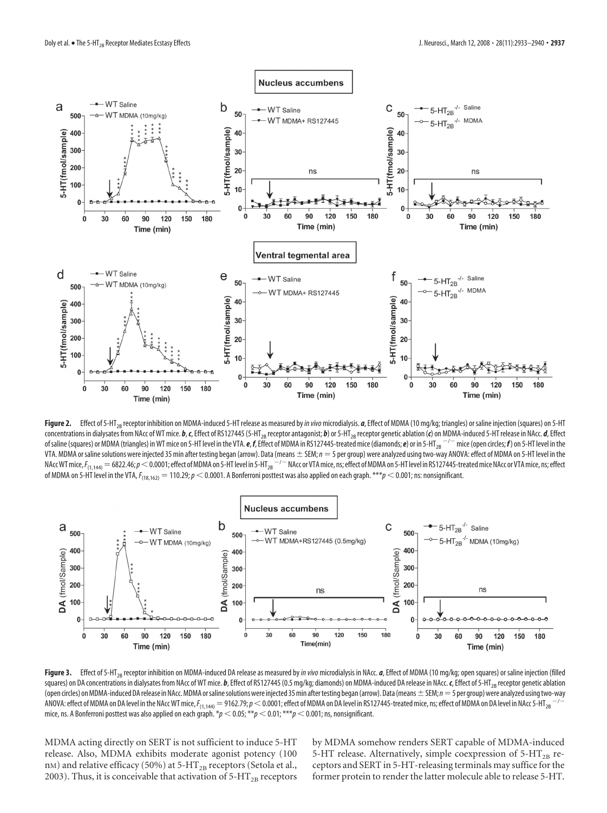

Figure 2. Effect of 5-HT<sub>2B</sub> receptor inhibition on MDMA-induced 5-HT release as measured by *in vivo* microdialysis. *a*, Effect of MDMA (10 mg/kg; triangles) or saline injection (squares) on 5-HT concentrations in dialysates from NAcc of WT mice. b, c, Effect of RS127445 (5-HT<sub>2B</sub> receptor antagonist; b) or 5-HT<sub>2B</sub> receptor genetic ablation (c) on MDMA-induced 5-HT release in NAcc. d, Effect of saline (squares) or MDMA (triangles) in WT mice on 5-HT level in the VTA. **e**, *f*, Effect of MDMA in RS127445-treated mice (diamonds; **e**) or in 5-HT<sub>2B</sub>  $^{-/-}$  mice (open circles; **f**) on 5-HT level in the VTA. MDMA or saline solutions were injected 35 min after testing began (arrow). Data (means  $\pm$  SEM;  $n = 5$  per group) were analyzed using two-way ANOVA: effect of MDMA on 5-HT level in the NAcc WT mice,  $F_{(1,144)}=$  6822.46;  $p <$  0.0001; effect of MDMA on 5-HT level in 5-HT<sub>2B</sub>  $^{-/-}$  NAcc or VTA mice, ns; effect of MDMA on 5-HT level in RS127445-treated mice NAcc or VTA mice, ns; effect of MDMA on 5-HT level in the VTA,*F*(18,162) 110.29;*p* 0.0001. A Bonferroni posttest was also applied on each graph. \*\*\**p* 0.001; ns: nonsignificant.



Figure 3. Effect of 5-HT<sub>2B</sub> receptor inhibition on MDMA-induced DA release as measured by in vivo microdialysis in NAcc. *a*, Effect of MDMA (10 mg/kg; open squares) or saline injection (filled squares) on DA concentrations in dialysates from NAcc of WT mice. *b*, Effect of RS127445 (0.5 mg/kg; diamonds) on MDMA-induced DA release in NAcc. *c*, Effect of 5-HT<sub>2B</sub> receptor genetic ablation (open circles) on MDMA-induced DA release in NAcc. MDMA or saline solutions were injected 35 min after testing began (arrow). Data (means  $\pm$  SEM;  $n=$  5 per group) were analyzed using two-way ANOVA: effect of MDMA on DA level in the NAcc WT mice,  $F_{(1,144)} = 9$ 162.79;  $\rho$   $<$  0.0001; effect of MDMA on DA level in RS127445-treated mice, ns; effect of MDMA on DA level in NAcc 5-HT<sub>2B</sub>  $^{-/-}$ mice, ns. A Bonferroni posttest was also applied on each graph.  $*_p$  < 0.05;  $^{**}p$  < 0.01;  $^{***}p$  < 0.001; ns, nonsignificant.

MDMA acting directly on SERT is not sufficient to induce 5-HT release. Also, MDMA exhibits moderate agonist potency (100 nM) and relative efficacy (50%) at 5-HT<sub>2B</sub> receptors (Setola et al., 2003). Thus, it is conceivable that activation of  $5-HT_{2B}$  receptors by MDMA somehow renders SERT capable of MDMA-induced 5-HT release. Alternatively, simple coexpression of  $5-HT_{2B}$  receptors and SERT in 5-HT-releasing terminals may suffice for the former protein to render the latter molecule able to release 5-HT.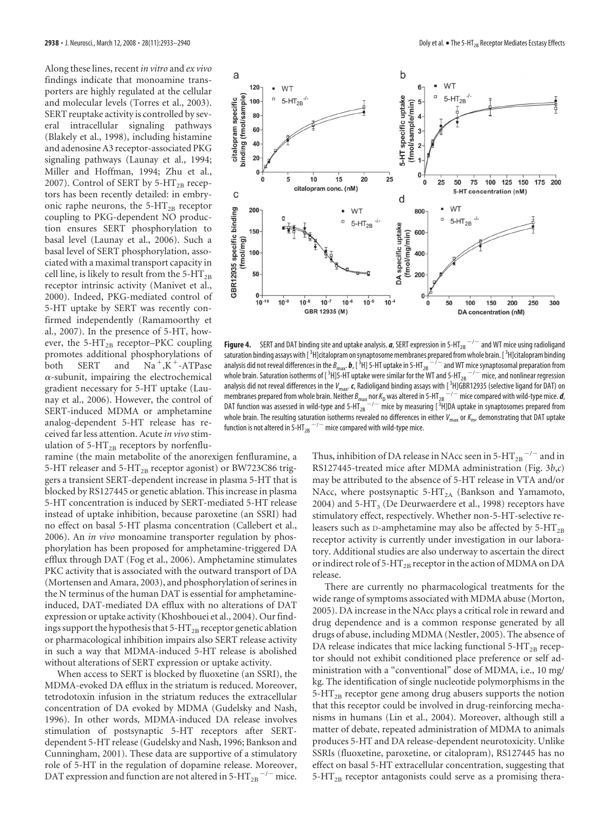Along these lines, recent *in vitro* and *ex vivo* findings indicate that monoamine transporters are highly regulated at the cellular and molecular levels (Torres et al., 2003). SERT reuptake activity is controlled by several intracellular signaling pathways (Blakely et al., 1998), including histamine and adenosine A3 receptor-associated PKG signaling pathways (Launay et al., 1994; Miller and Hoffman, 1994; Zhu et al., 2007). Control of SERT by 5-HT<sub>2B</sub> receptors has been recently detailed: in embryonic raphe neurons, the  $5-HT_{2B}$  receptor coupling to PKG-dependent NO production ensures SERT phosphorylation to basal level (Launay et al., 2006). Such a basal level of SERT phosphorylation, associated with a maximal transport capacity in cell line, is likely to result from the 5- $HT_{2B}$ receptor intrinsic activity (Manivet et al., 2000). Indeed, PKG-mediated control of 5-HT uptake by SERT was recently confirmed independently (Ramamoorthy et al., 2007). In the presence of 5-HT, however, the 5- $HT_{2B}$  receptor–PKC coupling promotes additional phosphorylations of both SERT and  $,\dot{K}^+$ -ATPase  $\alpha$ -subunit, impairing the electrochemical gradient necessary for 5-HT uptake (Launay et al., 2006). However, the control of SERT-induced MDMA or amphetamine analog-dependent 5-HT release has received far less attention. Acute *in vivo* stimulation of  $5-HT_{2B}$  receptors by norfenflu-

ramine (the main metabolite of the anorexigen fenfluramine, a 5-HT releaser and 5-HT<sub>2B</sub> receptor agonist) or BW723C86 triggers a transient SERT-dependent increase in plasma 5-HT that is blocked by RS127445 or genetic ablation. This increase in plasma 5-HT concentration is induced by SERT-mediated 5-HT release instead of uptake inhibition, because paroxetine (an SSRI) had no effect on basal 5-HT plasma concentration (Callebert et al., 2006). An *in vivo* monoamine transporter regulation by phosphorylation has been proposed for amphetamine-triggered DA efflux through DAT (Fog et al., 2006). Amphetamine stimulates PKC activity that is associated with the outward transport of DA (Mortensen and Amara, 2003), and phosphorylation of serines in the N terminus of the human DAT is essential for amphetamineinduced, DAT-mediated DA efflux with no alterations of DAT expression or uptake activity (Khoshbouei et al., 2004). Our findings support the hypothesis that  $5-HT_{2B}$  receptor genetic ablation or pharmacological inhibition impairs also SERT release activity in such a way that MDMA-induced 5-HT release is abolished without alterations of SERT expression or uptake activity.

When access to SERT is blocked by fluoxetine (an SSRI), the MDMA-evoked DA efflux in the striatum is reduced. Moreover, tetrodotoxin infusion in the striatum reduces the extracellular concentration of DA evoked by MDMA (Gudelsky and Nash, 1996). In other words, MDMA-induced DA release involves stimulation of postsynaptic 5-HT receptors after SERTdependent 5-HT release (Gudelsky and Nash, 1996; Bankson and Cunningham, 2001). These data are supportive of a stimulatory role of 5-HT in the regulation of dopamine release. Moreover, DAT expression and function are not altered in 5-HT<sub>2B</sub> $^{-/-}$  mice.



**Figure 4.** SERT and DAT binding site and uptake analysis.  $a$ , SERT expression in 5-HT<sub>2B</sub>  $^{-/-}$  and WT mice using radioligand saturation binding assays with [3H]citalopram on synaptosome membranes prepared from whole brain. [3H]citalopram binding analysis did not reveal differences in the  $B_{\max}$   $\bm{b}$  , [<sup>3</sup>H] 5-HT uptake in 5-HT<sub>2B</sub>  $^{-/-}$  and WT mice synaptosomal preparation from whole brain. Saturation isotherms of [  $^3$ H]5-HT uptake were similar for the WT and 5-HT  $_{\rm 2B}$   $^{-/-}$  mice, and nonlinear regression analysis did not reveal differences in the *V<sub>max</sub>. c,* Radioligand binding assays with [<sup>3</sup>H]GBR12935 (selective ligand for DAT) on membranes prepared from whole brain. Neither  $B_{\sf max}$  nor  $K_{\sf D}$  was altered in 5-HT<sub>2B</sub>  $^{-/-}$  mice compared with wild-type mice. *d*, DAT function was assessed in wild-type and 5-HT $_{28}^{---}$  mice by measuring [3H]DA uptake in synaptosomes prepared from whole brain. The resulting saturation isotherms revealed no differences in either *V*<sub>max</sub> or *K<sub>m</sub>*, demonstrating that DAT uptake function is not altered in 5-HT $_{\rm 2B}$   $^{-/-}$  mice compared with wild-type mice.

Thus, inhibition of DA release in NAcc seen in 5-HT  $_{\rm 2B}$   $^{-/-}$  and in RS127445-treated mice after MDMA administration (Fig. 3*b*,*c*) may be attributed to the absence of 5-HT release in VTA and/or NAcc, where postsynaptic  $5-HT_{2A}$  (Bankson and Yamamoto, 2004) and 5-HT<sub>3</sub> (De Deurwaerdere et al., 1998) receptors have stimulatory effect, respectively. Whether non-5-HT-selective releasers such as D-amphetamine may also be affected by  $5-HT_{2B}$ receptor activity is currently under investigation in our laboratory. Additional studies are also underway to ascertain the direct or indirect role of 5-HT<sub>2B</sub> receptor in the action of MDMA on DA release.

There are currently no pharmacological treatments for the wide range of symptoms associated with MDMA abuse (Morton, 2005). DA increase in the NAcc plays a critical role in reward and drug dependence and is a common response generated by all drugs of abuse, including MDMA (Nestler, 2005). The absence of DA release indicates that mice lacking functional  $5-HT_{2B}$  receptor should not exhibit conditioned place preference or self administration with a "conventional" dose of MDMA, i.e., 10 mg/ kg. The identification of single nucleotide polymorphisms in the 5-HT<sub>2B</sub> receptor gene among drug abusers supports the notion that this receptor could be involved in drug-reinforcing mechanisms in humans (Lin et al., 2004). Moreover, although still a matter of debate, repeated administration of MDMA to animals produces 5-HT and DA release-dependent neurotoxicity. Unlike SSRIs (fluoxetine, paroxetine, or citalopram), RS127445 has no effect on basal 5-HT extracellular concentration, suggesting that  $5-\text{HT}_{2B}$  receptor antagonists could serve as a promising thera-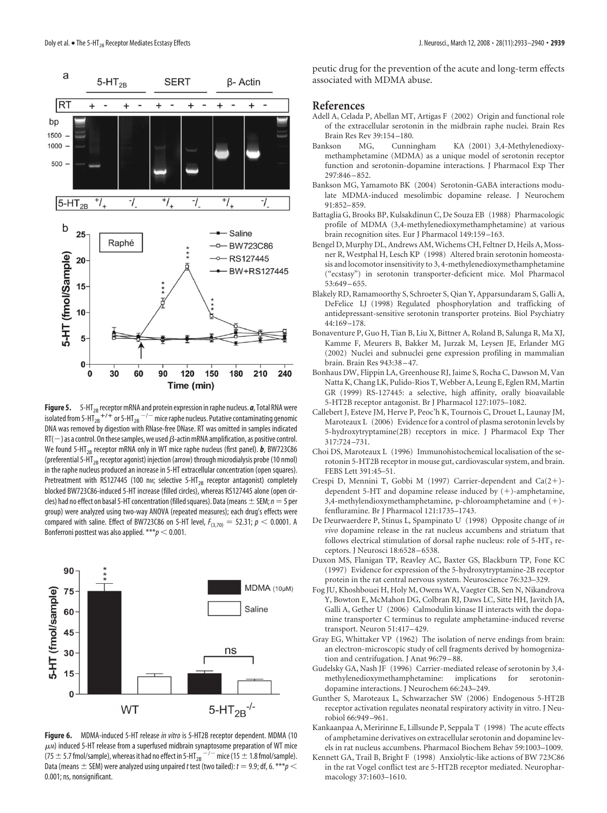

Figure 5. 5-HT<sub>2B</sub> receptor mRNA and protein expression in raphe nucleus. *a*, Total RNA were isolated from 5-HT $_{28}^{-+/-}$  or 5-HT $_{28}^{--/-}$  mice raphe nucleus. Putative contaminating genomic DNA was removed by digestion with RNase-free DNase. RT was omitted in samples indicated  $RT(-)$  as a control. On these samples, we used  $\beta$ -actin mRNA amplification, as positive control. We found 5-HT<sub>2B</sub> receptor mRNA only in WT mice raphe nucleus (first panel). *b*, BW723C86 (preferential 5-HT<sub>2B</sub> receptor agonist) injection (arrow) through microdialysis probe (10 nmol) in the raphe nucleus produced an increase in 5-HT extracellular concentration (open squares). Pretreatment with RS127445 (100 nm; selective 5-HT<sub>2B</sub> receptor antagonist) completely blocked BW723C86-induced 5-HT increase (filled circles), whereas RS127445 alone (open circles) had no effect on basal 5-HT concentration (filled squares). Data (means  $\pm$  SEM;  $n=5$  per group) were analyzed using two-way ANOVA (repeated measures); each drug's effects were compared with saline. Effect of BW723C86 on 5-HT level,  $F_{(3,70)} = 52.31; p < 0.0001$ . A Bonferroni posttest was also applied.  $***p < 0.001$ .



**Figure 6.** MDMA-induced 5-HT release *in vitro* is 5-HT2B receptor dependent. MDMA (10  $\mu$ м) induced 5-HT release from a superfused midbrain synaptosome preparation of WT mice  $(75\pm5.7$  fmol/sample), whereas it had no effect in 5-HT $_{28}^{-/-}$  mice (15  $\pm$  1.8 fmol/sample). Data (means  $\pm$  SEM) were analyzed using unpaired *t* test (two tailed):  $t = 9.9$ ; df, 6. \*\*\* $p$  < 0.001; ns, nonsignificant.

peutic drug for the prevention of the acute and long-term effects associated with MDMA abuse.

#### **References**

- Adell A, Celada P, Abellan MT, Artigas F (2002) Origin and functional role of the extracellular serotonin in the midbrain raphe nuclei. Brain Res Brain Res Rev 39:154 –180.
- Bankson MG, Cunningham KA (2001) 3,4-Methylenedioxymethamphetamine (MDMA) as a unique model of serotonin receptor function and serotonin-dopamine interactions. J Pharmacol Exp Ther 297:846 –852.
- Bankson MG, Yamamoto BK (2004) Serotonin-GABA interactions modulate MDMA-induced mesolimbic dopamine release. J Neurochem 91:852–859.
- Battaglia G, Brooks BP, Kulsakdinun C, De Souza EB (1988) Pharmacologic profile of MDMA (3,4-methylenedioxymethamphetamine) at various brain recognition sites. Eur J Pharmacol 149:159 –163.
- Bengel D, Murphy DL, Andrews AM, Wichems CH, Feltner D, Heils A, Mossner R, Westphal H, Lesch KP (1998) Altered brain serotonin homeostasis and locomotor insensitivity to 3, 4-methylenedioxymethamphetamine ("ecstasy") in serotonin transporter-deficient mice. Mol Pharmacol 53:649 –655.
- Blakely RD, Ramamoorthy S, Schroeter S, Qian Y, Apparsundaram S, Galli A, DeFelice LJ (1998) Regulated phosphorylation and trafficking of antidepressant-sensitive serotonin transporter proteins. Biol Psychiatry 44:169 –178.
- Bonaventure P, Guo H, Tian B, Liu X, Bittner A, Roland B, Salunga R, Ma XJ, Kamme F, Meurers B, Bakker M, Jurzak M, Leysen JE, Erlander MG (2002) Nuclei and subnuclei gene expression profiling in mammalian brain. Brain Res 943:38 –47.
- Bonhaus DW, Flippin LA, Greenhouse RJ, Jaime S, Rocha C, Dawson M, Van Natta K, Chang LK, Pulido-Rios T, Webber A, Leung E, Eglen RM, Martin GR (1999) RS-127445: a selective, high affinity, orally bioavailable 5-HT2B receptor antagonist. Br J Pharmacol 127:1075–1082.
- Callebert J, Esteve JM, Herve P, Peoc'h K, Tournois C, Drouet L, Launay JM, Maroteaux L (2006) Evidence for a control of plasma serotonin levels by 5-hydroxytryptamine(2B) receptors in mice. J Pharmacol Exp Ther 317:724 –731.
- Choi DS, Maroteaux L (1996) Immunohistochemical localisation of the serotonin 5-HT2B receptor in mouse gut, cardiovascular system, and brain. FEBS Lett 391:45–51.
- Crespi D, Mennini T, Gobbi M (1997) Carrier-dependent and Ca(2-) dependent 5-HT and dopamine release induced by (+)-amphetamine, 3,4-methylendioxymethamphetamine, p-chloroamphetamine and (+)fenfluramine. Br J Pharmacol 121:1735–1743.
- De Deurwaerdere P, Stinus L, Spampinato U (1998) Opposite change of *in vivo* dopamine release in the rat nucleus accumbens and striatum that follows electrical stimulation of dorsal raphe nucleus: role of  $5-HT<sub>3</sub>$  receptors. J Neurosci 18:6528 –6538.
- Duxon MS, Flanigan TP, Reavley AC, Baxter GS, Blackburn TP, Fone KC (1997) Evidence for expression of the 5-hydroxytryptamine-2B receptor protein in the rat central nervous system. Neuroscience 76:323–329.
- Fog JU, Khoshbouei H, Holy M, Owens WA, Vaegter CB, Sen N, Nikandrova Y, Bowton E, McMahon DG, Colbran RJ, Daws LC, Sitte HH, Javitch JA, Galli A, Gether U (2006) Calmodulin kinase II interacts with the dopamine transporter C terminus to regulate amphetamine-induced reverse transport. Neuron 51:417–429.
- Gray EG, Whittaker VP (1962) The isolation of nerve endings from brain: an electron-microscopic study of cell fragments derived by homogenization and centrifugation. J Anat 96:79 –88.
- Gudelsky GA, Nash JF (1996) Carrier-mediated release of serotonin by 3,4 methylenedioxymethamphetamine: implications for serotonindopamine interactions. J Neurochem 66:243–249.
- Gunther S, Maroteaux L, Schwarzacher SW (2006) Endogenous 5-HT2B receptor activation regulates neonatal respiratory activity in vitro. J Neurobiol 66:949 –961.
- Kankaanpaa A, Meririnne E, Lillsunde P, Seppala T (1998) The acute effects of amphetamine derivatives on extracellular serotonin and dopamine levels in rat nucleus accumbens. Pharmacol Biochem Behav 59:1003–1009.
- Kennett GA, Trail B, Bright F (1998) Anxiolytic-like actions of BW 723C86 in the rat Vogel conflict test are 5-HT2B receptor mediated. Neuropharmacology 37:1603–1610.